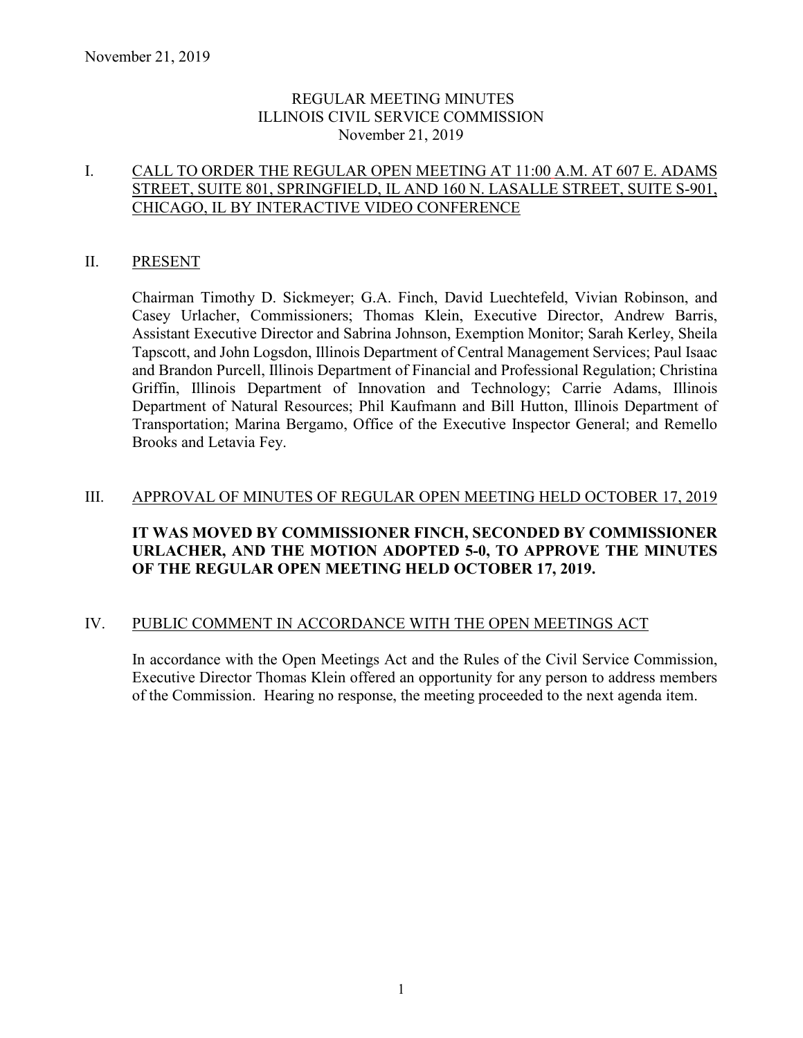## REGULAR MEETING MINUTES ILLINOIS CIVIL SERVICE COMMISSION November 21, 2019

## I. CALL TO ORDER THE REGULAR OPEN MEETING AT 11:00 A.M. AT 607 E. ADAMS STREET, SUITE 801, SPRINGFIELD, IL AND 160 N. LASALLE STREET, SUITE S-901, CHICAGO, IL BY INTERACTIVE VIDEO CONFERENCE

## II. PRESENT

Chairman Timothy D. Sickmeyer; G.A. Finch, David Luechtefeld, Vivian Robinson, and Casey Urlacher, Commissioners; Thomas Klein, Executive Director, Andrew Barris, Assistant Executive Director and Sabrina Johnson, Exemption Monitor; Sarah Kerley, Sheila Tapscott, and John Logsdon, Illinois Department of Central Management Services; Paul Isaac and Brandon Purcell, Illinois Department of Financial and Professional Regulation; Christina Griffin, Illinois Department of Innovation and Technology; Carrie Adams, Illinois Department of Natural Resources; Phil Kaufmann and Bill Hutton, Illinois Department of Transportation; Marina Bergamo, Office of the Executive Inspector General; and Remello Brooks and Letavia Fey.

## III. APPROVAL OF MINUTES OF REGULAR OPEN MEETING HELD OCTOBER 17, 2019

## **IT WAS MOVED BY COMMISSIONER FINCH, SECONDED BY COMMISSIONER URLACHER, AND THE MOTION ADOPTED 5-0, TO APPROVE THE MINUTES OF THE REGULAR OPEN MEETING HELD OCTOBER 17, 2019.**

#### IV. PUBLIC COMMENT IN ACCORDANCE WITH THE OPEN MEETINGS ACT

In accordance with the Open Meetings Act and the Rules of the Civil Service Commission, Executive Director Thomas Klein offered an opportunity for any person to address members of the Commission. Hearing no response, the meeting proceeded to the next agenda item.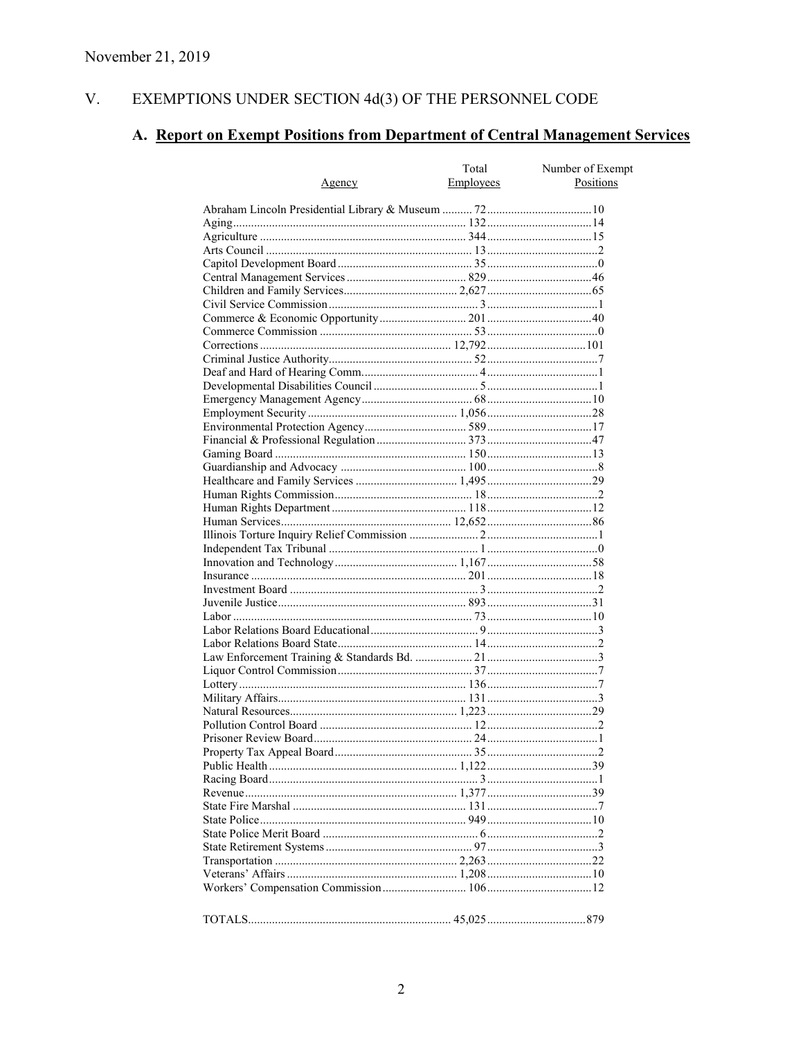#### V. EXEMPTIONS UNDER SECTION  $4d(3)$  OF THE PERSONNEL CODE

# A. Report on Exempt Positions from Department of Central Management Services

|               | Total     | Number of Exempt |
|---------------|-----------|------------------|
| <u>Agency</u> | Employees | Positions        |
|               |           |                  |
|               |           |                  |
|               |           |                  |
|               |           |                  |
|               |           |                  |
|               |           |                  |
|               |           |                  |
|               |           |                  |
|               |           |                  |
|               |           |                  |
|               |           |                  |
|               |           |                  |
|               |           |                  |
|               |           |                  |
|               |           |                  |
|               |           |                  |
|               |           |                  |
|               |           |                  |
|               |           |                  |
|               |           |                  |
|               |           |                  |
|               |           |                  |
|               |           |                  |
|               |           |                  |
|               |           |                  |
|               |           |                  |
|               |           |                  |
|               |           |                  |
|               |           |                  |
|               |           |                  |
|               |           |                  |
|               |           |                  |
|               |           |                  |
|               |           |                  |
|               |           |                  |
|               |           |                  |
|               |           |                  |
|               |           |                  |
|               |           |                  |
|               |           |                  |
|               |           |                  |
|               |           |                  |
|               |           |                  |
|               |           |                  |
|               |           |                  |
|               |           |                  |
|               |           |                  |
|               |           |                  |
|               |           |                  |
|               |           |                  |
|               |           |                  |
|               |           |                  |
|               |           |                  |
|               |           |                  |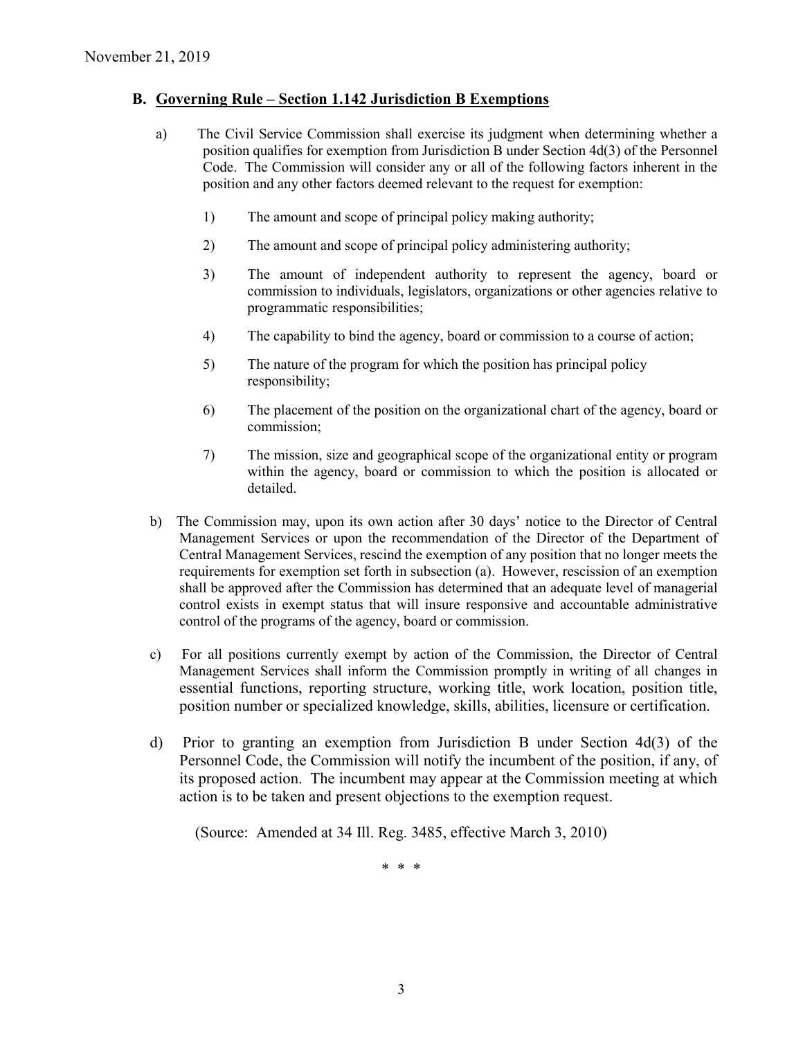### **B. Governing Rule – Section 1.142 Jurisdiction B Exemptions**

- a) The Civil Service Commission shall exercise its judgment when determining whether a position qualifies for exemption from Jurisdiction B under Section 4d(3) of the Personnel Code. The Commission will consider any or all of the following factors inherent in the position and any other factors deemed relevant to the request for exemption:
	- 1) The amount and scope of principal policy making authority;
	- 2) The amount and scope of principal policy administering authority;
	- 3) The amount of independent authority to represent the agency, board or commission to individuals, legislators, organizations or other agencies relative to programmatic responsibilities;
	- 4) The capability to bind the agency, board or commission to a course of action;
	- 5) The nature of the program for which the position has principal policy responsibility;
	- 6) The placement of the position on the organizational chart of the agency, board or commission;
	- 7) The mission, size and geographical scope of the organizational entity or program within the agency, board or commission to which the position is allocated or detailed.
- b) The Commission may, upon its own action after 30 days' notice to the Director of Central Management Services or upon the recommendation of the Director of the Department of Central Management Services, rescind the exemption of any position that no longer meets the requirements for exemption set forth in subsection (a). However, rescission of an exemption shall be approved after the Commission has determined that an adequate level of managerial control exists in exempt status that will insure responsive and accountable administrative control of the programs of the agency, board or commission.
- c) For all positions currently exempt by action of the Commission, the Director of Central Management Services shall inform the Commission promptly in writing of all changes in essential functions, reporting structure, working title, work location, position title, position number or specialized knowledge, skills, abilities, licensure or certification.
- d) Prior to granting an exemption from Jurisdiction B under Section 4d(3) of the Personnel Code, the Commission will notify the incumbent of the position, if any, of its proposed action. The incumbent may appear at the Commission meeting at which action is to be taken and present objections to the exemption request.

(Source: Amended at 34 Ill. Reg. 3485, effective March 3, 2010)

\* \* \*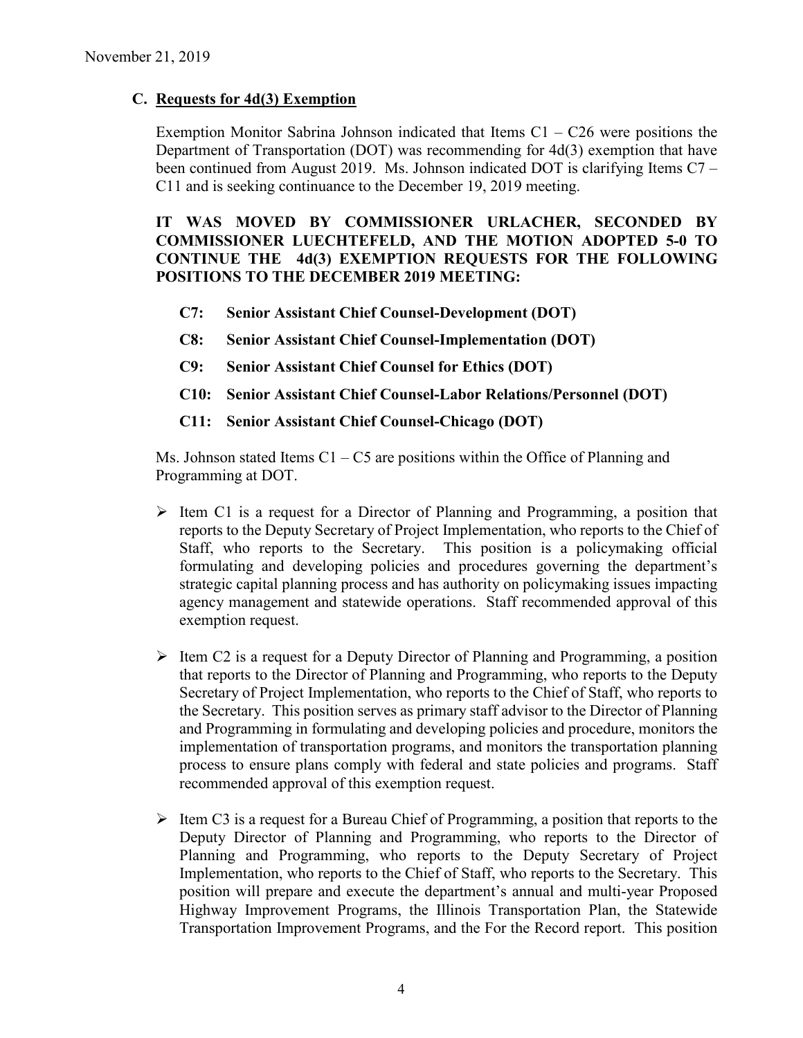## **C. Requests for 4d(3) Exemption**

Exemption Monitor Sabrina Johnson indicated that Items  $C1 - C26$  were positions the Department of Transportation (DOT) was recommending for 4d(3) exemption that have been continued from August 2019. Ms. Johnson indicated DOT is clarifying Items C7 – C11 and is seeking continuance to the December 19, 2019 meeting.

**IT WAS MOVED BY COMMISSIONER URLACHER, SECONDED BY COMMISSIONER LUECHTEFELD, AND THE MOTION ADOPTED 5-0 TO CONTINUE THE 4d(3) EXEMPTION REQUESTS FOR THE FOLLOWING POSITIONS TO THE DECEMBER 2019 MEETING:**

- **C7: Senior Assistant Chief Counsel-Development (DOT)**
- **C8: Senior Assistant Chief Counsel-Implementation (DOT)**
- **C9: Senior Assistant Chief Counsel for Ethics (DOT)**
- **C10: Senior Assistant Chief Counsel-Labor Relations/Personnel (DOT)**
- **C11: Senior Assistant Chief Counsel-Chicago (DOT)**

Ms. Johnson stated Items  $C1 - C5$  are positions within the Office of Planning and Programming at DOT.

- $\triangleright$  Item C1 is a request for a Director of Planning and Programming, a position that reports to the Deputy Secretary of Project Implementation, who reports to the Chief of Staff, who reports to the Secretary. This position is a policymaking official formulating and developing policies and procedures governing the department's strategic capital planning process and has authority on policymaking issues impacting agency management and statewide operations. Staff recommended approval of this exemption request.
- $\triangleright$  Item C2 is a request for a Deputy Director of Planning and Programming, a position that reports to the Director of Planning and Programming, who reports to the Deputy Secretary of Project Implementation, who reports to the Chief of Staff, who reports to the Secretary. This position serves as primary staff advisor to the Director of Planning and Programming in formulating and developing policies and procedure, monitors the implementation of transportation programs, and monitors the transportation planning process to ensure plans comply with federal and state policies and programs. Staff recommended approval of this exemption request.
- $\triangleright$  Item C3 is a request for a Bureau Chief of Programming, a position that reports to the Deputy Director of Planning and Programming, who reports to the Director of Planning and Programming, who reports to the Deputy Secretary of Project Implementation, who reports to the Chief of Staff, who reports to the Secretary. This position will prepare and execute the department's annual and multi-year Proposed Highway Improvement Programs, the Illinois Transportation Plan, the Statewide Transportation Improvement Programs, and the For the Record report. This position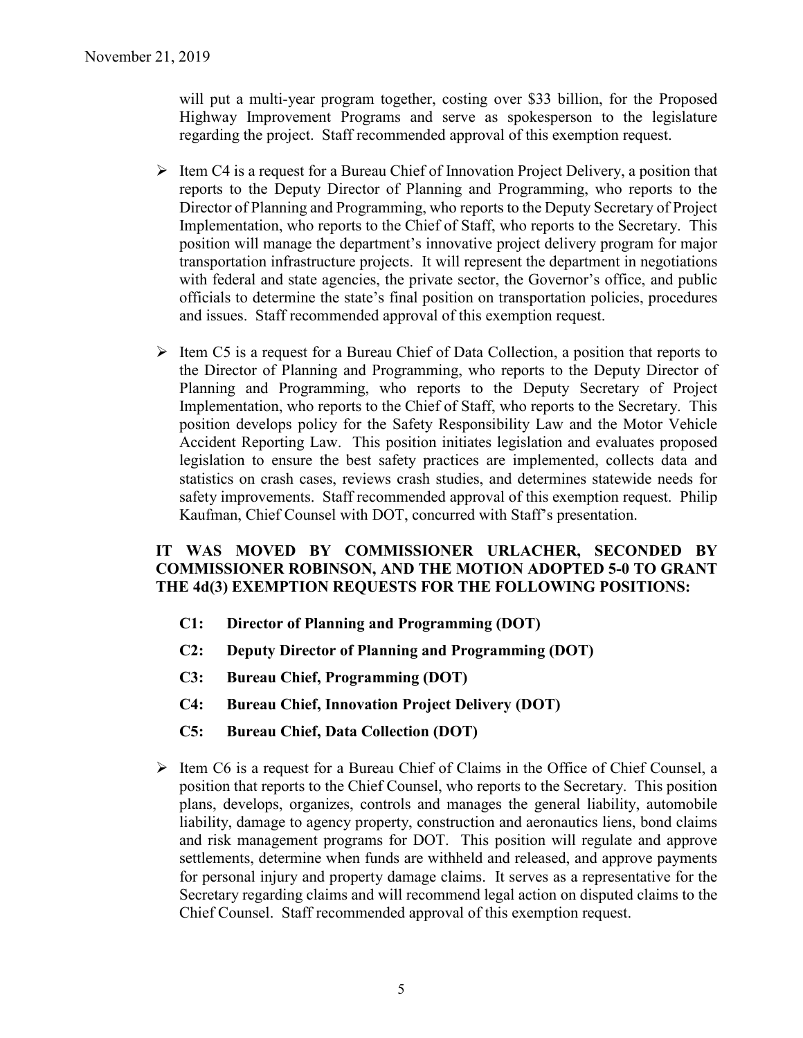will put a multi-year program together, costing over \$33 billion, for the Proposed Highway Improvement Programs and serve as spokesperson to the legislature regarding the project. Staff recommended approval of this exemption request.

- $\triangleright$  Item C4 is a request for a Bureau Chief of Innovation Project Delivery, a position that reports to the Deputy Director of Planning and Programming, who reports to the Director of Planning and Programming, who reports to the Deputy Secretary of Project Implementation, who reports to the Chief of Staff, who reports to the Secretary. This position will manage the department's innovative project delivery program for major transportation infrastructure projects. It will represent the department in negotiations with federal and state agencies, the private sector, the Governor's office, and public officials to determine the state's final position on transportation policies, procedures and issues. Staff recommended approval of this exemption request.
- $\triangleright$  Item C5 is a request for a Bureau Chief of Data Collection, a position that reports to the Director of Planning and Programming, who reports to the Deputy Director of Planning and Programming, who reports to the Deputy Secretary of Project Implementation, who reports to the Chief of Staff, who reports to the Secretary. This position develops policy for the Safety Responsibility Law and the Motor Vehicle Accident Reporting Law. This position initiates legislation and evaluates proposed legislation to ensure the best safety practices are implemented, collects data and statistics on crash cases, reviews crash studies, and determines statewide needs for safety improvements. Staff recommended approval of this exemption request. Philip Kaufman, Chief Counsel with DOT, concurred with Staff's presentation.

## **IT WAS MOVED BY COMMISSIONER URLACHER, SECONDED BY COMMISSIONER ROBINSON, AND THE MOTION ADOPTED 5-0 TO GRANT THE 4d(3) EXEMPTION REQUESTS FOR THE FOLLOWING POSITIONS:**

- **C1: Director of Planning and Programming (DOT)**
- **C2: Deputy Director of Planning and Programming (DOT)**
- **C3: Bureau Chief, Programming (DOT)**
- **C4: Bureau Chief, Innovation Project Delivery (DOT)**
- **C5: Bureau Chief, Data Collection (DOT)**
- $\triangleright$  Item C6 is a request for a Bureau Chief of Claims in the Office of Chief Counsel, a position that reports to the Chief Counsel, who reports to the Secretary. This position plans, develops, organizes, controls and manages the general liability, automobile liability, damage to agency property, construction and aeronautics liens, bond claims and risk management programs for DOT. This position will regulate and approve settlements, determine when funds are withheld and released, and approve payments for personal injury and property damage claims. It serves as a representative for the Secretary regarding claims and will recommend legal action on disputed claims to the Chief Counsel. Staff recommended approval of this exemption request.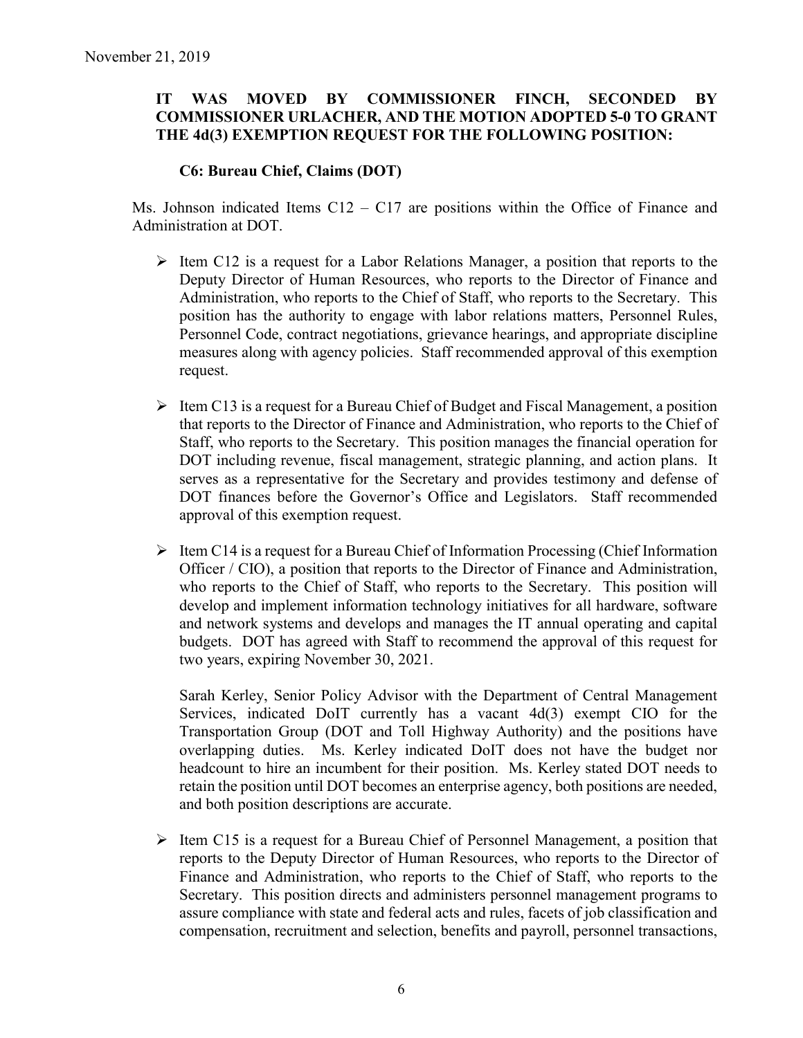## **IT WAS MOVED BY COMMISSIONER FINCH, SECONDED BY COMMISSIONER URLACHER, AND THE MOTION ADOPTED 5-0 TO GRANT THE 4d(3) EXEMPTION REQUEST FOR THE FOLLOWING POSITION:**

## **C6: Bureau Chief, Claims (DOT)**

Ms. Johnson indicated Items  $C12 - C17$  are positions within the Office of Finance and Administration at DOT.

- $\triangleright$  Item C12 is a request for a Labor Relations Manager, a position that reports to the Deputy Director of Human Resources, who reports to the Director of Finance and Administration, who reports to the Chief of Staff, who reports to the Secretary. This position has the authority to engage with labor relations matters, Personnel Rules, Personnel Code, contract negotiations, grievance hearings, and appropriate discipline measures along with agency policies. Staff recommended approval of this exemption request.
- $\triangleright$  Item C13 is a request for a Bureau Chief of Budget and Fiscal Management, a position that reports to the Director of Finance and Administration, who reports to the Chief of Staff, who reports to the Secretary. This position manages the financial operation for DOT including revenue, fiscal management, strategic planning, and action plans. It serves as a representative for the Secretary and provides testimony and defense of DOT finances before the Governor's Office and Legislators. Staff recommended approval of this exemption request.
- $\triangleright$  Item C14 is a request for a Bureau Chief of Information Processing (Chief Information Officer / CIO), a position that reports to the Director of Finance and Administration, who reports to the Chief of Staff, who reports to the Secretary. This position will develop and implement information technology initiatives for all hardware, software and network systems and develops and manages the IT annual operating and capital budgets. DOT has agreed with Staff to recommend the approval of this request for two years, expiring November 30, 2021.

Sarah Kerley, Senior Policy Advisor with the Department of Central Management Services, indicated DoIT currently has a vacant 4d(3) exempt CIO for the Transportation Group (DOT and Toll Highway Authority) and the positions have overlapping duties. Ms. Kerley indicated DoIT does not have the budget nor headcount to hire an incumbent for their position. Ms. Kerley stated DOT needs to retain the position until DOT becomes an enterprise agency, both positions are needed, and both position descriptions are accurate.

 $\triangleright$  Item C15 is a request for a Bureau Chief of Personnel Management, a position that reports to the Deputy Director of Human Resources, who reports to the Director of Finance and Administration, who reports to the Chief of Staff, who reports to the Secretary. This position directs and administers personnel management programs to assure compliance with state and federal acts and rules, facets of job classification and compensation, recruitment and selection, benefits and payroll, personnel transactions,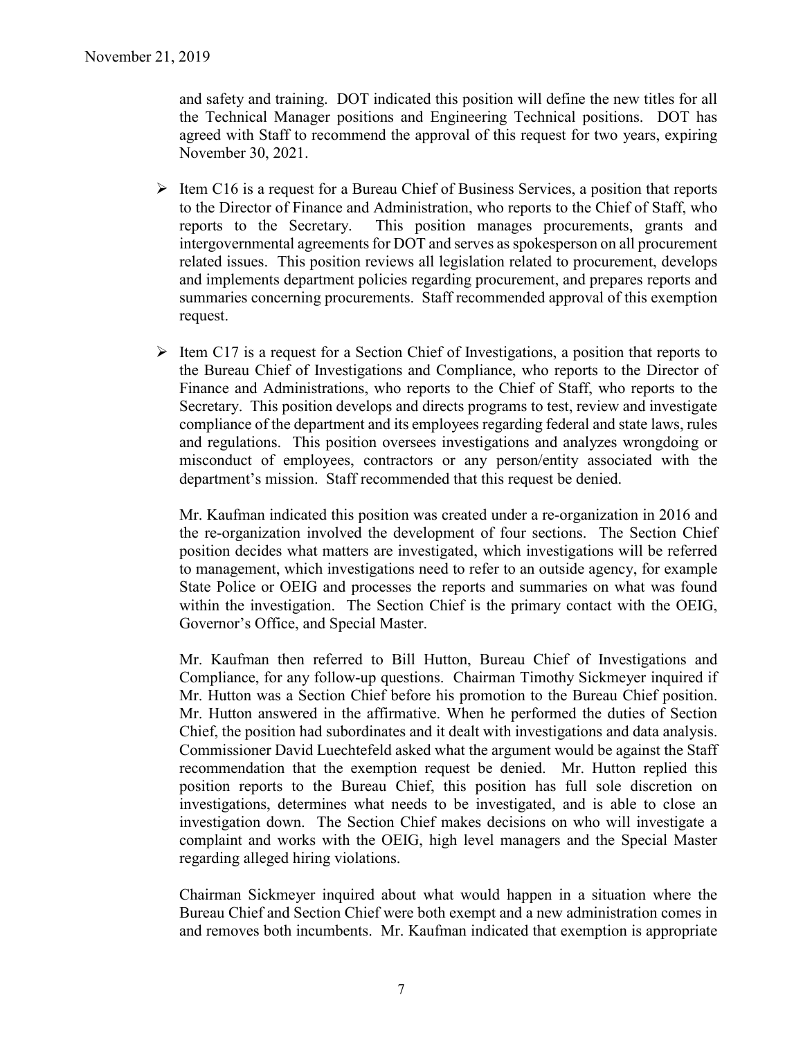and safety and training. DOT indicated this position will define the new titles for all the Technical Manager positions and Engineering Technical positions. DOT has agreed with Staff to recommend the approval of this request for two years, expiring November 30, 2021.

- $\triangleright$  Item C16 is a request for a Bureau Chief of Business Services, a position that reports to the Director of Finance and Administration, who reports to the Chief of Staff, who reports to the Secretary. This position manages procurements, grants and intergovernmental agreements for DOT and serves as spokesperson on all procurement related issues. This position reviews all legislation related to procurement, develops and implements department policies regarding procurement, and prepares reports and summaries concerning procurements. Staff recommended approval of this exemption request.
- $\triangleright$  Item C17 is a request for a Section Chief of Investigations, a position that reports to the Bureau Chief of Investigations and Compliance, who reports to the Director of Finance and Administrations, who reports to the Chief of Staff, who reports to the Secretary. This position develops and directs programs to test, review and investigate compliance of the department and its employees regarding federal and state laws, rules and regulations. This position oversees investigations and analyzes wrongdoing or misconduct of employees, contractors or any person/entity associated with the department's mission. Staff recommended that this request be denied.

Mr. Kaufman indicated this position was created under a re-organization in 2016 and the re-organization involved the development of four sections. The Section Chief position decides what matters are investigated, which investigations will be referred to management, which investigations need to refer to an outside agency, for example State Police or OEIG and processes the reports and summaries on what was found within the investigation. The Section Chief is the primary contact with the OEIG, Governor's Office, and Special Master.

Mr. Kaufman then referred to Bill Hutton, Bureau Chief of Investigations and Compliance, for any follow-up questions. Chairman Timothy Sickmeyer inquired if Mr. Hutton was a Section Chief before his promotion to the Bureau Chief position. Mr. Hutton answered in the affirmative. When he performed the duties of Section Chief, the position had subordinates and it dealt with investigations and data analysis. Commissioner David Luechtefeld asked what the argument would be against the Staff recommendation that the exemption request be denied. Mr. Hutton replied this position reports to the Bureau Chief, this position has full sole discretion on investigations, determines what needs to be investigated, and is able to close an investigation down. The Section Chief makes decisions on who will investigate a complaint and works with the OEIG, high level managers and the Special Master regarding alleged hiring violations.

Chairman Sickmeyer inquired about what would happen in a situation where the Bureau Chief and Section Chief were both exempt and a new administration comes in and removes both incumbents. Mr. Kaufman indicated that exemption is appropriate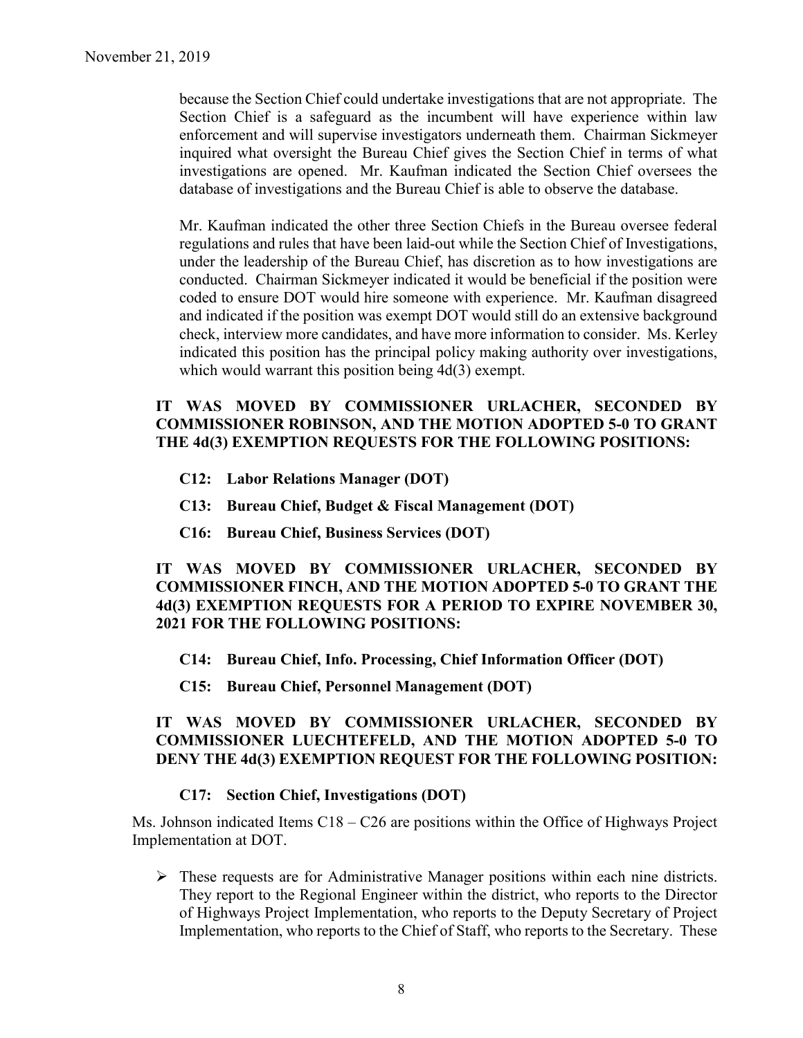because the Section Chief could undertake investigations that are not appropriate. The Section Chief is a safeguard as the incumbent will have experience within law enforcement and will supervise investigators underneath them. Chairman Sickmeyer inquired what oversight the Bureau Chief gives the Section Chief in terms of what investigations are opened. Mr. Kaufman indicated the Section Chief oversees the database of investigations and the Bureau Chief is able to observe the database.

Mr. Kaufman indicated the other three Section Chiefs in the Bureau oversee federal regulations and rules that have been laid-out while the Section Chief of Investigations, under the leadership of the Bureau Chief, has discretion as to how investigations are conducted. Chairman Sickmeyer indicated it would be beneficial if the position were coded to ensure DOT would hire someone with experience. Mr. Kaufman disagreed and indicated if the position was exempt DOT would still do an extensive background check, interview more candidates, and have more information to consider. Ms. Kerley indicated this position has the principal policy making authority over investigations, which would warrant this position being 4d(3) exempt.

### **IT WAS MOVED BY COMMISSIONER URLACHER, SECONDED BY COMMISSIONER ROBINSON, AND THE MOTION ADOPTED 5-0 TO GRANT THE 4d(3) EXEMPTION REQUESTS FOR THE FOLLOWING POSITIONS:**

- **C12: Labor Relations Manager (DOT)**
- **C13: Bureau Chief, Budget & Fiscal Management (DOT)**
- **C16: Bureau Chief, Business Services (DOT)**

## **IT WAS MOVED BY COMMISSIONER URLACHER, SECONDED BY COMMISSIONER FINCH, AND THE MOTION ADOPTED 5-0 TO GRANT THE 4d(3) EXEMPTION REQUESTS FOR A PERIOD TO EXPIRE NOVEMBER 30, 2021 FOR THE FOLLOWING POSITIONS:**

- **C14: Bureau Chief, Info. Processing, Chief Information Officer (DOT)**
- **C15: Bureau Chief, Personnel Management (DOT)**

## **IT WAS MOVED BY COMMISSIONER URLACHER, SECONDED BY COMMISSIONER LUECHTEFELD, AND THE MOTION ADOPTED 5-0 TO DENY THE 4d(3) EXEMPTION REQUEST FOR THE FOLLOWING POSITION:**

## **C17: Section Chief, Investigations (DOT)**

Ms. Johnson indicated Items C18 – C26 are positions within the Office of Highways Project Implementation at DOT.

 These requests are for Administrative Manager positions within each nine districts. They report to the Regional Engineer within the district, who reports to the Director of Highways Project Implementation, who reports to the Deputy Secretary of Project Implementation, who reports to the Chief of Staff, who reports to the Secretary. These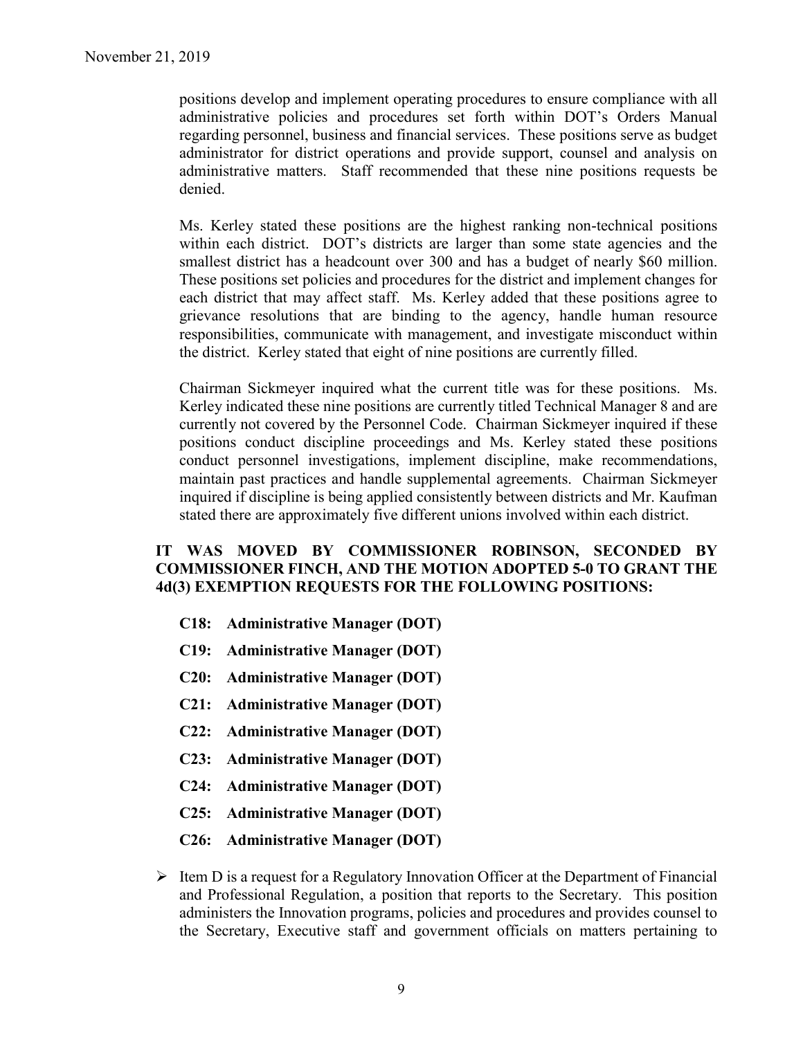positions develop and implement operating procedures to ensure compliance with all administrative policies and procedures set forth within DOT's Orders Manual regarding personnel, business and financial services. These positions serve as budget administrator for district operations and provide support, counsel and analysis on administrative matters. Staff recommended that these nine positions requests be denied.

Ms. Kerley stated these positions are the highest ranking non-technical positions within each district. DOT's districts are larger than some state agencies and the smallest district has a headcount over 300 and has a budget of nearly \$60 million. These positions set policies and procedures for the district and implement changes for each district that may affect staff. Ms. Kerley added that these positions agree to grievance resolutions that are binding to the agency, handle human resource responsibilities, communicate with management, and investigate misconduct within the district. Kerley stated that eight of nine positions are currently filled.

Chairman Sickmeyer inquired what the current title was for these positions. Ms. Kerley indicated these nine positions are currently titled Technical Manager 8 and are currently not covered by the Personnel Code. Chairman Sickmeyer inquired if these positions conduct discipline proceedings and Ms. Kerley stated these positions conduct personnel investigations, implement discipline, make recommendations, maintain past practices and handle supplemental agreements. Chairman Sickmeyer inquired if discipline is being applied consistently between districts and Mr. Kaufman stated there are approximately five different unions involved within each district.

## **IT WAS MOVED BY COMMISSIONER ROBINSON, SECONDED BY COMMISSIONER FINCH, AND THE MOTION ADOPTED 5-0 TO GRANT THE 4d(3) EXEMPTION REQUESTS FOR THE FOLLOWING POSITIONS:**

- **C18: Administrative Manager (DOT)**
- **C19: Administrative Manager (DOT)**
- **C20: Administrative Manager (DOT)**
- **C21: Administrative Manager (DOT)**
- **C22: Administrative Manager (DOT)**
- **C23: Administrative Manager (DOT)**
- **C24: Administrative Manager (DOT)**
- **C25: Administrative Manager (DOT)**
- **C26: Administrative Manager (DOT)**
- $\triangleright$  Item D is a request for a Regulatory Innovation Officer at the Department of Financial and Professional Regulation, a position that reports to the Secretary. This position administers the Innovation programs, policies and procedures and provides counsel to the Secretary, Executive staff and government officials on matters pertaining to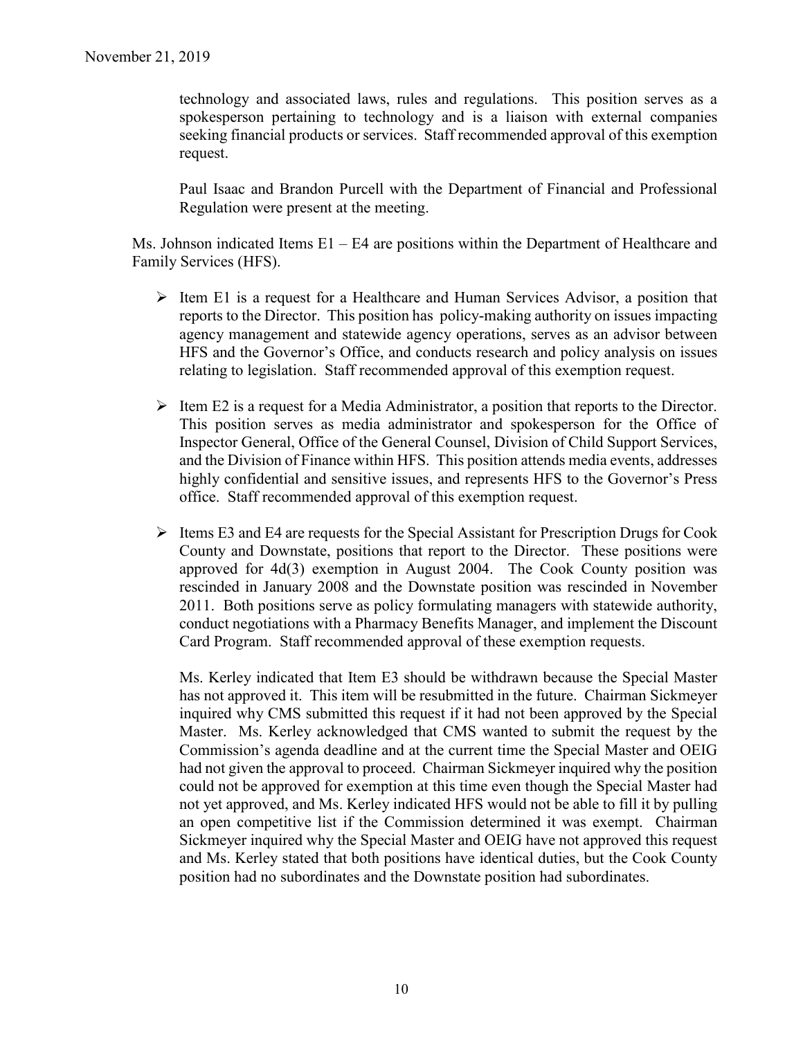technology and associated laws, rules and regulations. This position serves as a spokesperson pertaining to technology and is a liaison with external companies seeking financial products or services. Staff recommended approval of this exemption request.

Paul Isaac and Brandon Purcell with the Department of Financial and Professional Regulation were present at the meeting.

Ms. Johnson indicated Items E1 – E4 are positions within the Department of Healthcare and Family Services (HFS).

- $\triangleright$  Item E1 is a request for a Healthcare and Human Services Advisor, a position that reports to the Director. This position has policy-making authority on issues impacting agency management and statewide agency operations, serves as an advisor between HFS and the Governor's Office, and conducts research and policy analysis on issues relating to legislation. Staff recommended approval of this exemption request.
- $\triangleright$  Item E2 is a request for a Media Administrator, a position that reports to the Director. This position serves as media administrator and spokesperson for the Office of Inspector General, Office of the General Counsel, Division of Child Support Services, and the Division of Finance within HFS. This position attends media events, addresses highly confidential and sensitive issues, and represents HFS to the Governor's Press office. Staff recommended approval of this exemption request.
- $\triangleright$  Items E3 and E4 are requests for the Special Assistant for Prescription Drugs for Cook County and Downstate, positions that report to the Director. These positions were approved for 4d(3) exemption in August 2004. The Cook County position was rescinded in January 2008 and the Downstate position was rescinded in November 2011. Both positions serve as policy formulating managers with statewide authority, conduct negotiations with a Pharmacy Benefits Manager, and implement the Discount Card Program. Staff recommended approval of these exemption requests.

Ms. Kerley indicated that Item E3 should be withdrawn because the Special Master has not approved it. This item will be resubmitted in the future. Chairman Sickmeyer inquired why CMS submitted this request if it had not been approved by the Special Master. Ms. Kerley acknowledged that CMS wanted to submit the request by the Commission's agenda deadline and at the current time the Special Master and OEIG had not given the approval to proceed. Chairman Sickmeyer inquired why the position could not be approved for exemption at this time even though the Special Master had not yet approved, and Ms. Kerley indicated HFS would not be able to fill it by pulling an open competitive list if the Commission determined it was exempt. Chairman Sickmeyer inquired why the Special Master and OEIG have not approved this request and Ms. Kerley stated that both positions have identical duties, but the Cook County position had no subordinates and the Downstate position had subordinates.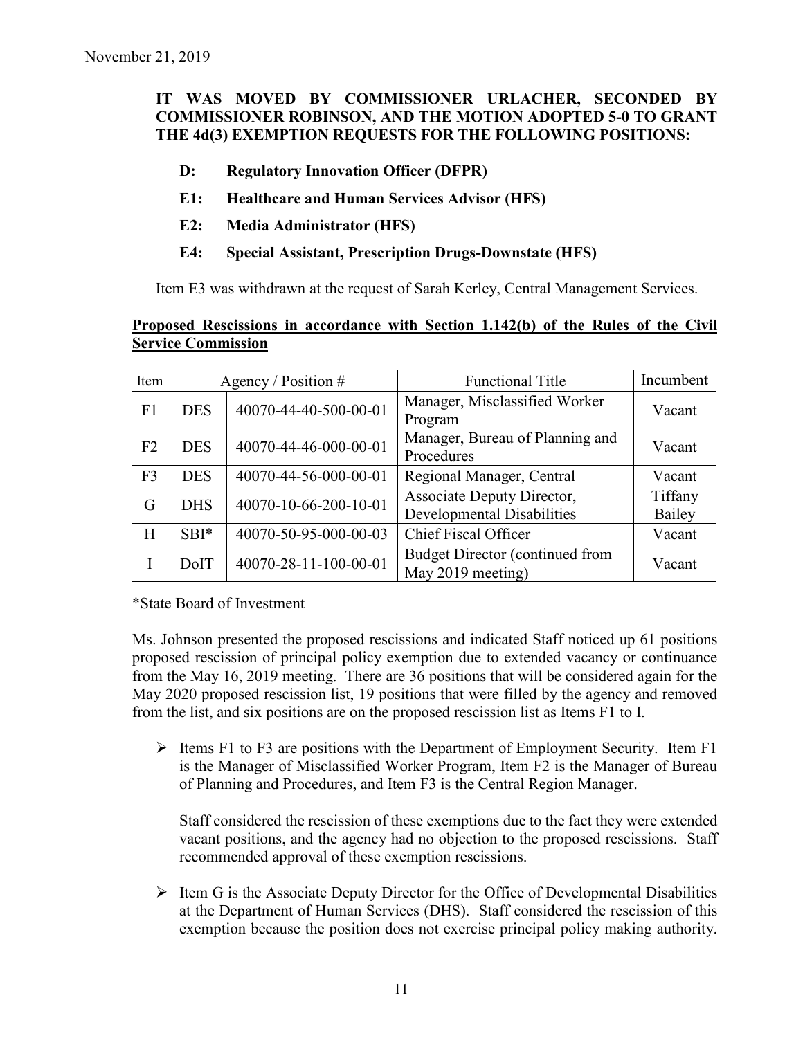# **IT WAS MOVED BY COMMISSIONER URLACHER, SECONDED BY COMMISSIONER ROBINSON, AND THE MOTION ADOPTED 5-0 TO GRANT THE 4d(3) EXEMPTION REQUESTS FOR THE FOLLOWING POSITIONS:**

- **D: Regulatory Innovation Officer (DFPR)**
- **E1: Healthcare and Human Services Advisor (HFS)**
- **E2: Media Administrator (HFS)**
- **E4: Special Assistant, Prescription Drugs-Downstate (HFS)**

Item E3 was withdrawn at the request of Sarah Kerley, Central Management Services.

#### **Proposed Rescissions in accordance with Section 1.142(b) of the Rules of the Civil Service Commission**

| Item           | Agency / Position $#$ |                       | <b>Functional Title</b>                                         | Incumbent         |
|----------------|-----------------------|-----------------------|-----------------------------------------------------------------|-------------------|
| F1             | <b>DES</b>            | 40070-44-40-500-00-01 | Manager, Misclassified Worker<br>Program                        | Vacant            |
| F2             | <b>DES</b>            | 40070-44-46-000-00-01 | Manager, Bureau of Planning and<br>Procedures                   | Vacant            |
| F <sub>3</sub> | <b>DES</b>            | 40070-44-56-000-00-01 | Regional Manager, Central                                       | Vacant            |
| G              | <b>DHS</b>            | 40070-10-66-200-10-01 | Associate Deputy Director,<br><b>Developmental Disabilities</b> | Tiffany<br>Bailey |
| H              | $SBI*$                | 40070-50-95-000-00-03 | <b>Chief Fiscal Officer</b>                                     | Vacant            |
|                | DoIT                  | 40070-28-11-100-00-01 | Budget Director (continued from<br>May 2019 meeting)            | Vacant            |

\*State Board of Investment

Ms. Johnson presented the proposed rescissions and indicated Staff noticed up 61 positions proposed rescission of principal policy exemption due to extended vacancy or continuance from the May 16, 2019 meeting. There are 36 positions that will be considered again for the May 2020 proposed rescission list, 19 positions that were filled by the agency and removed from the list, and six positions are on the proposed rescission list as Items F1 to I.

 $\triangleright$  Items F1 to F3 are positions with the Department of Employment Security. Item F1 is the Manager of Misclassified Worker Program, Item F2 is the Manager of Bureau of Planning and Procedures, and Item F3 is the Central Region Manager.

Staff considered the rescission of these exemptions due to the fact they were extended vacant positions, and the agency had no objection to the proposed rescissions. Staff recommended approval of these exemption rescissions.

 $\triangleright$  Item G is the Associate Deputy Director for the Office of Developmental Disabilities at the Department of Human Services (DHS). Staff considered the rescission of this exemption because the position does not exercise principal policy making authority.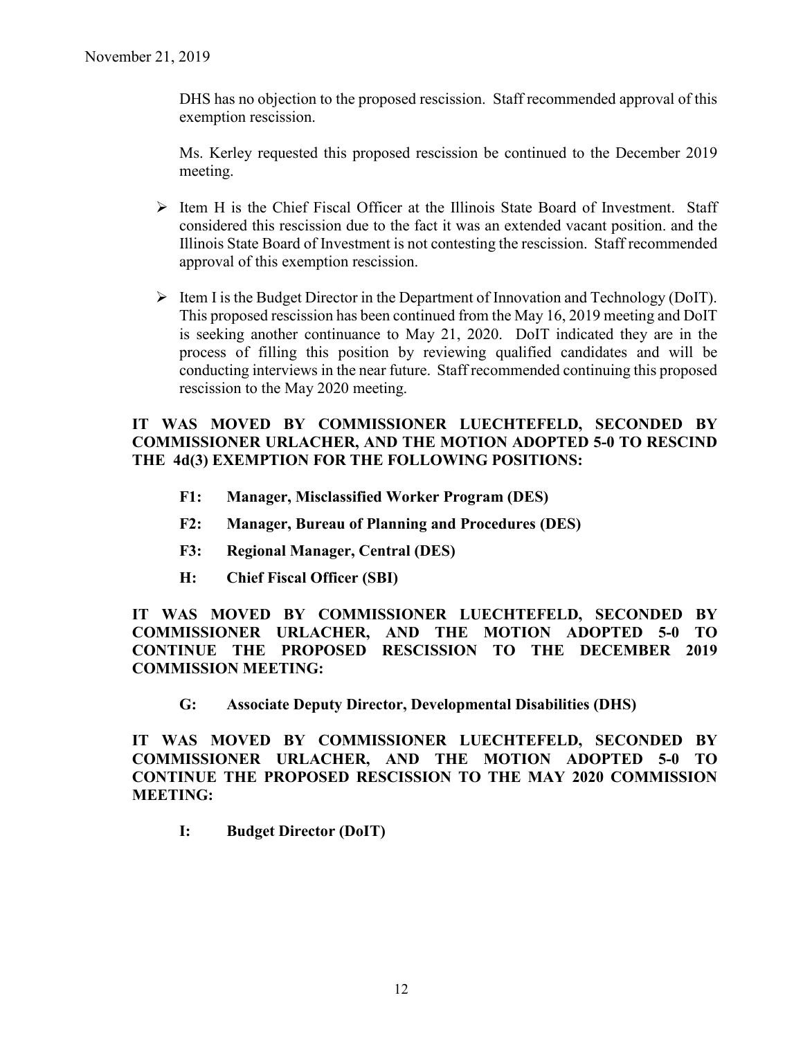DHS has no objection to the proposed rescission. Staff recommended approval of this exemption rescission.

Ms. Kerley requested this proposed rescission be continued to the December 2019 meeting.

- $\triangleright$  Item H is the Chief Fiscal Officer at the Illinois State Board of Investment. Staff considered this rescission due to the fact it was an extended vacant position. and the Illinois State Board of Investment is not contesting the rescission. Staff recommended approval of this exemption rescission.
- $\triangleright$  Item I is the Budget Director in the Department of Innovation and Technology (DoIT). This proposed rescission has been continued from the May 16, 2019 meeting and DoIT is seeking another continuance to May 21, 2020. DoIT indicated they are in the process of filling this position by reviewing qualified candidates and will be conducting interviews in the near future. Staff recommended continuing this proposed rescission to the May 2020 meeting.

## **IT WAS MOVED BY COMMISSIONER LUECHTEFELD, SECONDED BY COMMISSIONER URLACHER, AND THE MOTION ADOPTED 5-0 TO RESCIND THE 4d(3) EXEMPTION FOR THE FOLLOWING POSITIONS:**

- **F1: Manager, Misclassified Worker Program (DES)**
- **F2: Manager, Bureau of Planning and Procedures (DES)**
- **F3: Regional Manager, Central (DES)**
- **H: Chief Fiscal Officer (SBI)**

**IT WAS MOVED BY COMMISSIONER LUECHTEFELD, SECONDED BY COMMISSIONER URLACHER, AND THE MOTION ADOPTED 5-0 TO CONTINUE THE PROPOSED RESCISSION TO THE DECEMBER 2019 COMMISSION MEETING:**

**G: Associate Deputy Director, Developmental Disabilities (DHS)**

**IT WAS MOVED BY COMMISSIONER LUECHTEFELD, SECONDED BY COMMISSIONER URLACHER, AND THE MOTION ADOPTED 5-0 TO CONTINUE THE PROPOSED RESCISSION TO THE MAY 2020 COMMISSION MEETING:**

**I: Budget Director (DoIT)**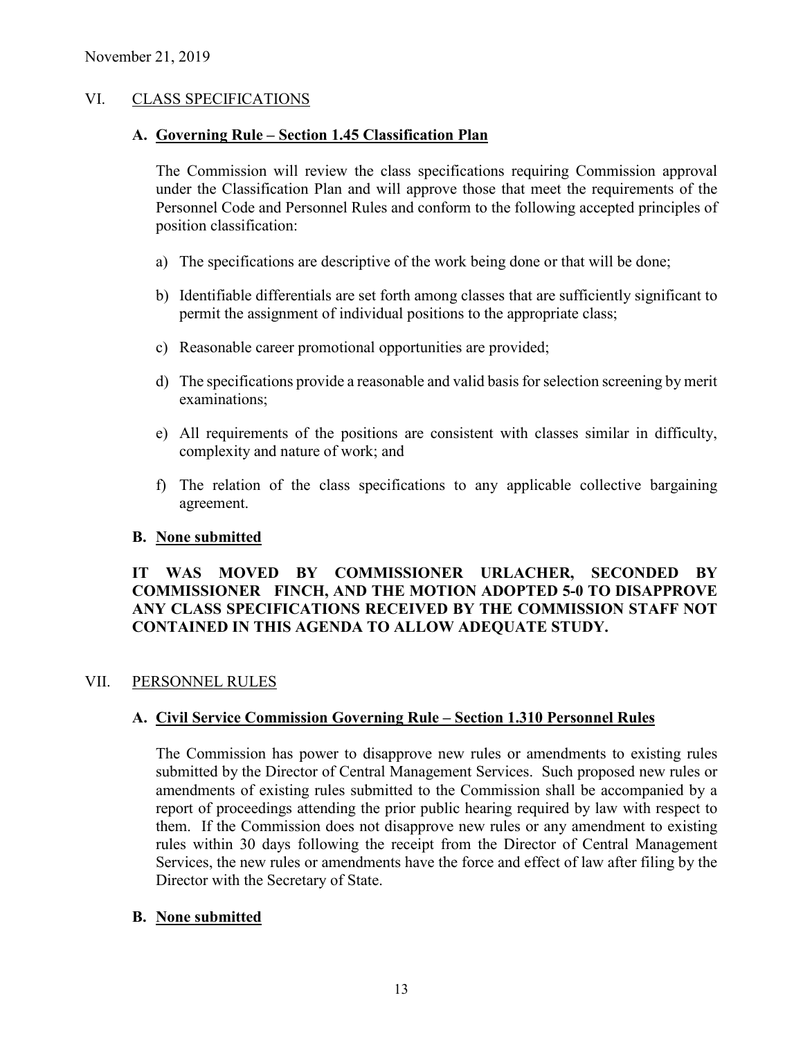## VI. CLASS SPECIFICATIONS

#### **A. Governing Rule – Section 1.45 Classification Plan**

The Commission will review the class specifications requiring Commission approval under the Classification Plan and will approve those that meet the requirements of the Personnel Code and Personnel Rules and conform to the following accepted principles of position classification:

- a) The specifications are descriptive of the work being done or that will be done;
- b) Identifiable differentials are set forth among classes that are sufficiently significant to permit the assignment of individual positions to the appropriate class;
- c) Reasonable career promotional opportunities are provided;
- d) The specifications provide a reasonable and valid basis for selection screening by merit examinations;
- e) All requirements of the positions are consistent with classes similar in difficulty, complexity and nature of work; and
- f) The relation of the class specifications to any applicable collective bargaining agreement.

#### **B. None submitted**

## **IT WAS MOVED BY COMMISSIONER URLACHER, SECONDED BY COMMISSIONER FINCH, AND THE MOTION ADOPTED 5-0 TO DISAPPROVE ANY CLASS SPECIFICATIONS RECEIVED BY THE COMMISSION STAFF NOT CONTAINED IN THIS AGENDA TO ALLOW ADEQUATE STUDY.**

#### VII. PERSONNEL RULES

#### **A. Civil Service Commission Governing Rule – Section 1.310 Personnel Rules**

The Commission has power to disapprove new rules or amendments to existing rules submitted by the Director of Central Management Services. Such proposed new rules or amendments of existing rules submitted to the Commission shall be accompanied by a report of proceedings attending the prior public hearing required by law with respect to them. If the Commission does not disapprove new rules or any amendment to existing rules within 30 days following the receipt from the Director of Central Management Services, the new rules or amendments have the force and effect of law after filing by the Director with the Secretary of State.

#### **B. None submitted**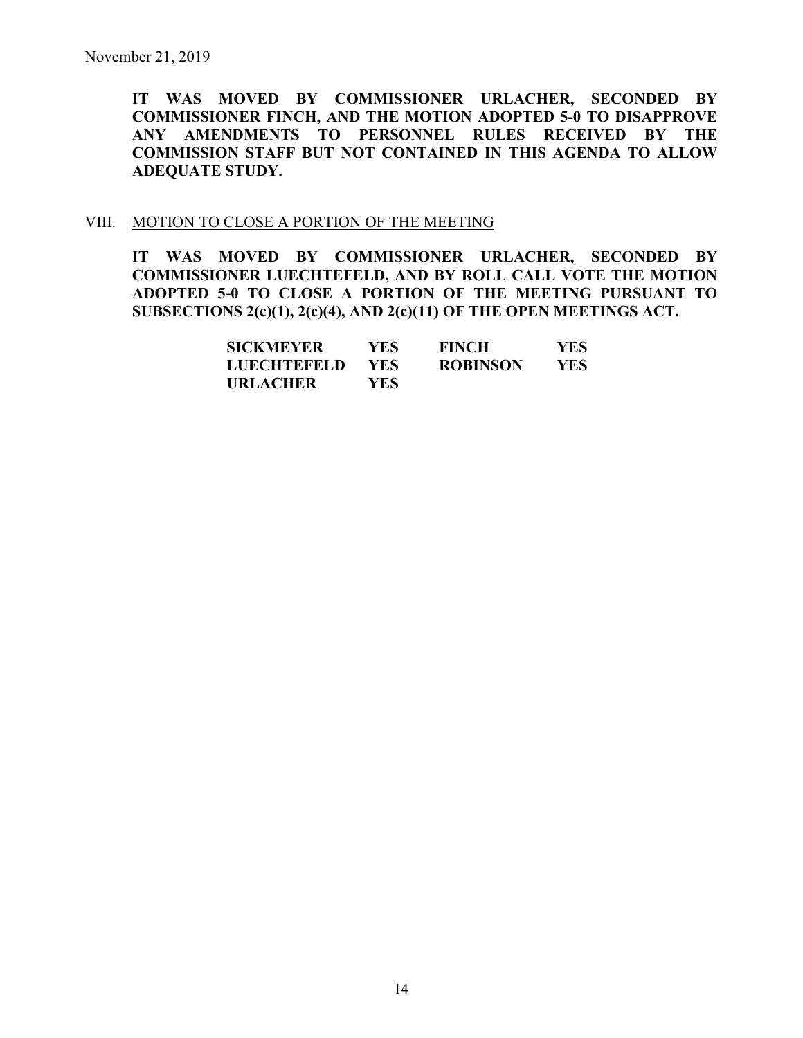**IT WAS MOVED BY COMMISSIONER URLACHER, SECONDED BY COMMISSIONER FINCH, AND THE MOTION ADOPTED 5-0 TO DISAPPROVE ANY AMENDMENTS TO PERSONNEL RULES RECEIVED BY THE COMMISSION STAFF BUT NOT CONTAINED IN THIS AGENDA TO ALLOW ADEQUATE STUDY.** 

#### VIII. MOTION TO CLOSE A PORTION OF THE MEETING

**IT WAS MOVED BY COMMISSIONER URLACHER, SECONDED BY COMMISSIONER LUECHTEFELD, AND BY ROLL CALL VOTE THE MOTION ADOPTED 5-0 TO CLOSE A PORTION OF THE MEETING PURSUANT TO SUBSECTIONS 2(c)(1), 2(c)(4), AND 2(c)(11) OF THE OPEN MEETINGS ACT.**

| <b>SICKMEYER</b> | YES.       | <b>FINCH</b>    | YES  |
|------------------|------------|-----------------|------|
| LUECHTEFELD      | <b>YES</b> | <b>ROBINSON</b> | YES. |
| URLACHER         | YES.       |                 |      |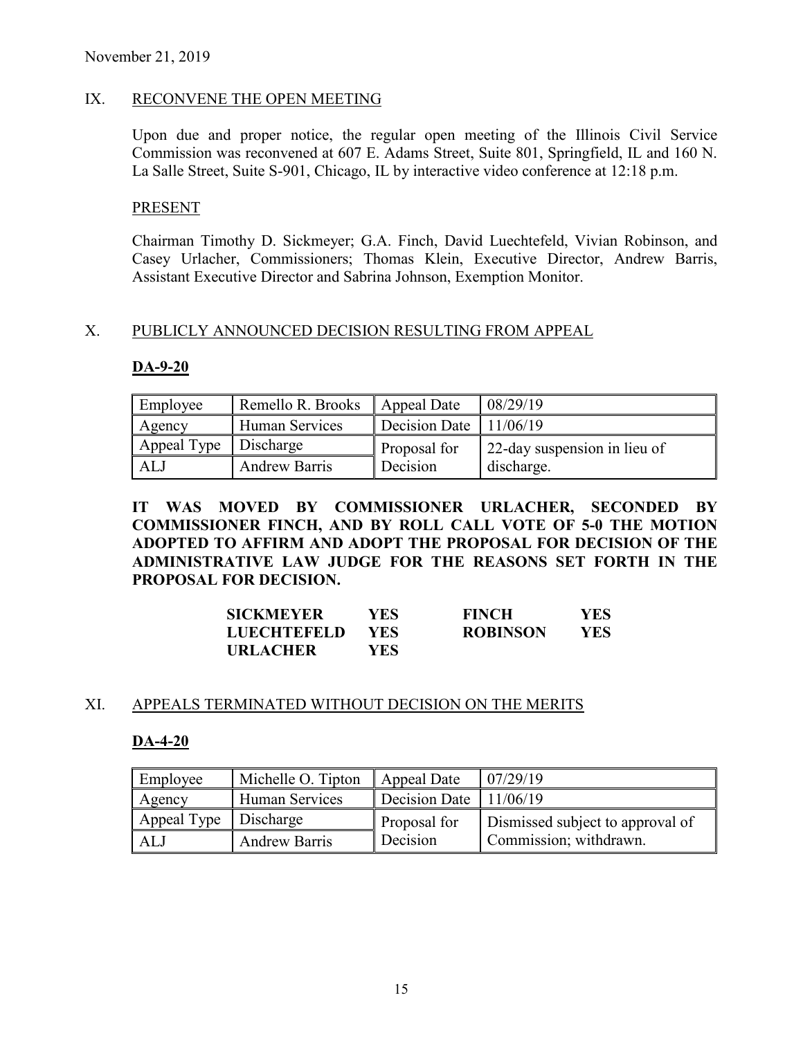## IX. RECONVENE THE OPEN MEETING

Upon due and proper notice, the regular open meeting of the Illinois Civil Service Commission was reconvened at 607 E. Adams Street, Suite 801, Springfield, IL and 160 N. La Salle Street, Suite S-901, Chicago, IL by interactive video conference at 12:18 p.m.

#### PRESENT

Chairman Timothy D. Sickmeyer; G.A. Finch, David Luechtefeld, Vivian Robinson, and Casey Urlacher, Commissioners; Thomas Klein, Executive Director, Andrew Barris, Assistant Executive Director and Sabrina Johnson, Exemption Monitor.

#### X. PUBLICLY ANNOUNCED DECISION RESULTING FROM APPEAL

#### **DA-9-20**

| Employee                | Remello R. Brooks    | Appeal Date                    | 08/29/19                     |
|-------------------------|----------------------|--------------------------------|------------------------------|
| Agency                  | Human Services       | Decision Date $\vert$ 11/06/19 |                              |
| Appeal Type   Discharge |                      | Proposal for                   | 22-day suspension in lieu of |
| ALJ                     | <b>Andrew Barris</b> | Decision                       | discharge.                   |

**IT WAS MOVED BY COMMISSIONER URLACHER, SECONDED BY COMMISSIONER FINCH, AND BY ROLL CALL VOTE OF 5-0 THE MOTION ADOPTED TO AFFIRM AND ADOPT THE PROPOSAL FOR DECISION OF THE ADMINISTRATIVE LAW JUDGE FOR THE REASONS SET FORTH IN THE PROPOSAL FOR DECISION.**

| <b>SICKMEYER</b>   | YES. | <b>FINCH</b>    | <b>YES</b> |
|--------------------|------|-----------------|------------|
| <b>LUECHTEFELD</b> | YES- | <b>ROBINSON</b> | YES        |
| <b>URLACHER</b>    | YES  |                 |            |

#### XI. APPEALS TERMINATED WITHOUT DECISION ON THE MERITS

#### **DA-4-20**

| Employee              | Michelle O. Tipton   | Appeal Date   | 07/29/19                         |
|-----------------------|----------------------|---------------|----------------------------------|
| Agency                | Human Services       | Decision Date | 11/06/19                         |
| Appeal Type Discharge |                      | Proposal for  | Dismissed subject to approval of |
| ALJ                   | <b>Andrew Barris</b> | Decision      | Commission; withdrawn.           |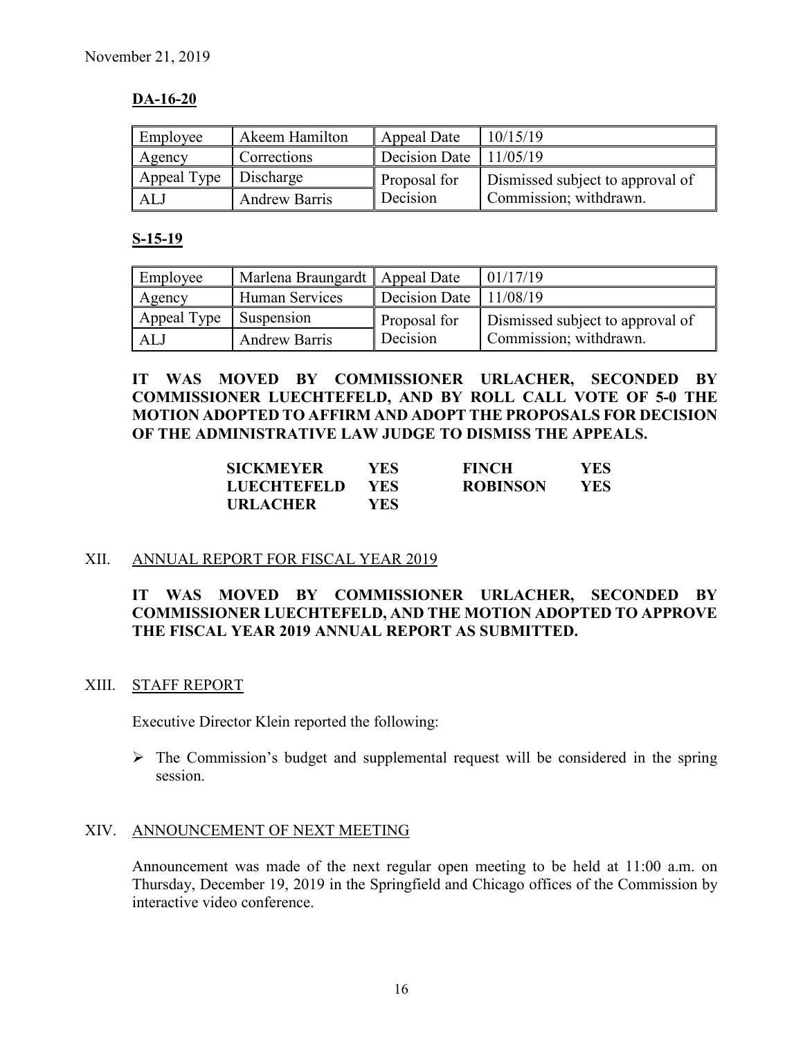## **DA-16-20**

| Employee              | Akeem Hamilton       | Appeal Date              | 10/15/19                         |
|-----------------------|----------------------|--------------------------|----------------------------------|
| Agency                | Corrections          | Decision Date $11/05/19$ |                                  |
| Appeal Type Discharge |                      | Proposal for             | Dismissed subject to approval of |
| ALJ                   | <b>Andrew Barris</b> | Decision                 | Commission; withdrawn.           |

#### **S-15-19**

| Employee    | Marlena Braungardt   Appeal Date |                        | 01/17/19                         |
|-------------|----------------------------------|------------------------|----------------------------------|
| Agency      | Human Services                   | Decision Date 11/08/19 |                                  |
| Appeal Type | Suspension                       | Proposal for           | Dismissed subject to approval of |
| ALJ         | <b>Andrew Barris</b>             | Decision               | Commission; withdrawn.           |

**IT WAS MOVED BY COMMISSIONER URLACHER, SECONDED BY COMMISSIONER LUECHTEFELD, AND BY ROLL CALL VOTE OF 5-0 THE MOTION ADOPTED TO AFFIRM AND ADOPT THE PROPOSALS FOR DECISION OF THE ADMINISTRATIVE LAW JUDGE TO DISMISS THE APPEALS.**

| <b>SICKMEYER</b>   | YES- | <b>FINCH</b>    | <b>YES</b> |
|--------------------|------|-----------------|------------|
| <b>LUECHTEFELD</b> | YES. | <b>ROBINSON</b> | YES.       |
| <b>URLACHER</b>    | YES- |                 |            |

#### XII. ANNUAL REPORT FOR FISCAL YEAR 2019

## **IT WAS MOVED BY COMMISSIONER URLACHER, SECONDED BY COMMISSIONER LUECHTEFELD, AND THE MOTION ADOPTED TO APPROVE THE FISCAL YEAR 2019 ANNUAL REPORT AS SUBMITTED.**

#### XIII. STAFF REPORT

Executive Director Klein reported the following:

 $\triangleright$  The Commission's budget and supplemental request will be considered in the spring session.

#### XIV. ANNOUNCEMENT OF NEXT MEETING

Announcement was made of the next regular open meeting to be held at 11:00 a.m. on Thursday, December 19, 2019 in the Springfield and Chicago offices of the Commission by interactive video conference.